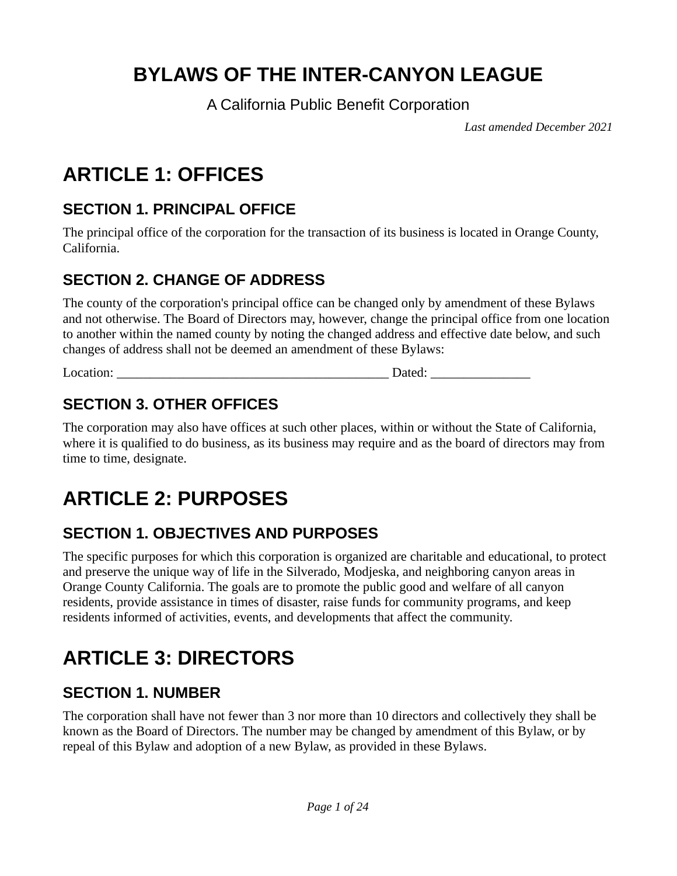A California Public Benefit Corporation

*Last amended December 2021*

# **ARTICLE 1: OFFICES**

### **SECTION 1. PRINCIPAL OFFICE**

The principal office of the corporation for the transaction of its business is located in Orange County, California.

#### **SECTION 2. CHANGE OF ADDRESS**

The county of the corporation's principal office can be changed only by amendment of these Bylaws and not otherwise. The Board of Directors may, however, change the principal office from one location to another within the named county by noting the changed address and effective date below, and such changes of address shall not be deemed an amendment of these Bylaws:

Location: \_\_\_\_\_\_\_\_\_\_\_\_\_\_\_\_\_\_\_\_\_\_\_\_\_\_\_\_\_\_\_\_\_\_\_\_\_\_\_\_\_ Dated: \_\_\_\_\_\_\_\_\_\_\_\_\_\_\_

#### **SECTION 3. OTHER OFFICES**

The corporation may also have offices at such other places, within or without the State of California, where it is qualified to do business, as its business may require and as the board of directors may from time to time, designate.

# **ARTICLE 2: PURPOSES**

### **SECTION 1. OBJECTIVES AND PURPOSES**

The specific purposes for which this corporation is organized are charitable and educational, to protect and preserve the unique way of life in the Silverado, Modjeska, and neighboring canyon areas in Orange County California. The goals are to promote the public good and welfare of all canyon residents, provide assistance in times of disaster, raise funds for community programs, and keep residents informed of activities, events, and developments that affect the community.

# **ARTICLE 3: DIRECTORS**

#### **SECTION 1. NUMBER**

The corporation shall have not fewer than 3 nor more than 10 directors and collectively they shall be known as the Board of Directors. The number may be changed by amendment of this Bylaw, or by repeal of this Bylaw and adoption of a new Bylaw, as provided in these Bylaws.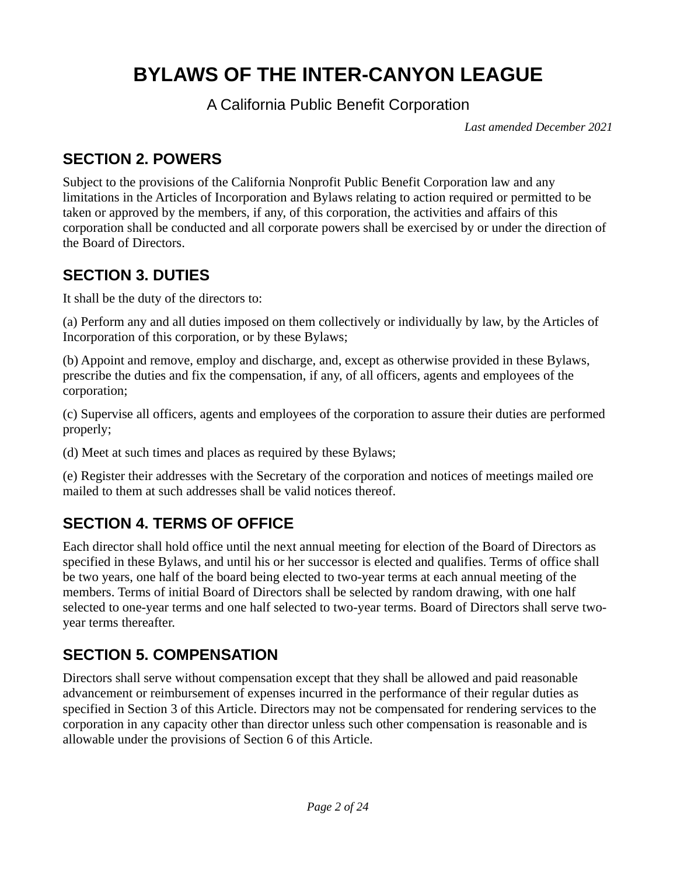A California Public Benefit Corporation

*Last amended December 2021*

### **SECTION 2. POWERS**

Subject to the provisions of the California Nonprofit Public Benefit Corporation law and any limitations in the Articles of Incorporation and Bylaws relating to action required or permitted to be taken or approved by the members, if any, of this corporation, the activities and affairs of this corporation shall be conducted and all corporate powers shall be exercised by or under the direction of the Board of Directors.

#### **SECTION 3. DUTIES**

It shall be the duty of the directors to:

(a) Perform any and all duties imposed on them collectively or individually by law, by the Articles of Incorporation of this corporation, or by these Bylaws;

(b) Appoint and remove, employ and discharge, and, except as otherwise provided in these Bylaws, prescribe the duties and fix the compensation, if any, of all officers, agents and employees of the corporation;

(c) Supervise all officers, agents and employees of the corporation to assure their duties are performed properly;

(d) Meet at such times and places as required by these Bylaws;

(e) Register their addresses with the Secretary of the corporation and notices of meetings mailed ore mailed to them at such addresses shall be valid notices thereof.

## **SECTION 4. TERMS OF OFFICE**

Each director shall hold office until the next annual meeting for election of the Board of Directors as specified in these Bylaws, and until his or her successor is elected and qualifies. Terms of office shall be two years, one half of the board being elected to two-year terms at each annual meeting of the members. Terms of initial Board of Directors shall be selected by random drawing, with one half selected to one-year terms and one half selected to two-year terms. Board of Directors shall serve twoyear terms thereafter.

## **SECTION 5. COMPENSATION**

Directors shall serve without compensation except that they shall be allowed and paid reasonable advancement or reimbursement of expenses incurred in the performance of their regular duties as specified in Section 3 of this Article. Directors may not be compensated for rendering services to the corporation in any capacity other than director unless such other compensation is reasonable and is allowable under the provisions of Section 6 of this Article.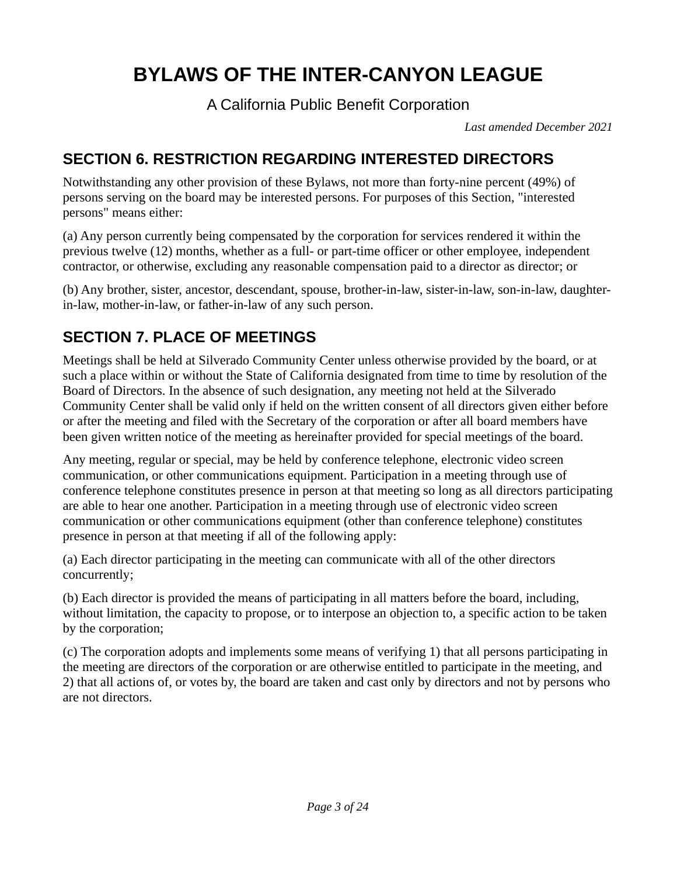A California Public Benefit Corporation

*Last amended December 2021*

#### **SECTION 6. RESTRICTION REGARDING INTERESTED DIRECTORS**

Notwithstanding any other provision of these Bylaws, not more than forty-nine percent (49%) of persons serving on the board may be interested persons. For purposes of this Section, "interested persons" means either:

(a) Any person currently being compensated by the corporation for services rendered it within the previous twelve (12) months, whether as a full- or part-time officer or other employee, independent contractor, or otherwise, excluding any reasonable compensation paid to a director as director; or

(b) Any brother, sister, ancestor, descendant, spouse, brother-in-law, sister-in-law, son-in-law, daughterin-law, mother-in-law, or father-in-law of any such person.

#### **SECTION 7. PLACE OF MEETINGS**

Meetings shall be held at Silverado Community Center unless otherwise provided by the board, or at such a place within or without the State of California designated from time to time by resolution of the Board of Directors. In the absence of such designation, any meeting not held at the Silverado Community Center shall be valid only if held on the written consent of all directors given either before or after the meeting and filed with the Secretary of the corporation or after all board members have been given written notice of the meeting as hereinafter provided for special meetings of the board.

Any meeting, regular or special, may be held by conference telephone, electronic video screen communication, or other communications equipment. Participation in a meeting through use of conference telephone constitutes presence in person at that meeting so long as all directors participating are able to hear one another. Participation in a meeting through use of electronic video screen communication or other communications equipment (other than conference telephone) constitutes presence in person at that meeting if all of the following apply:

(a) Each director participating in the meeting can communicate with all of the other directors concurrently;

(b) Each director is provided the means of participating in all matters before the board, including, without limitation, the capacity to propose, or to interpose an objection to, a specific action to be taken by the corporation;

(c) The corporation adopts and implements some means of verifying 1) that all persons participating in the meeting are directors of the corporation or are otherwise entitled to participate in the meeting, and 2) that all actions of, or votes by, the board are taken and cast only by directors and not by persons who are not directors.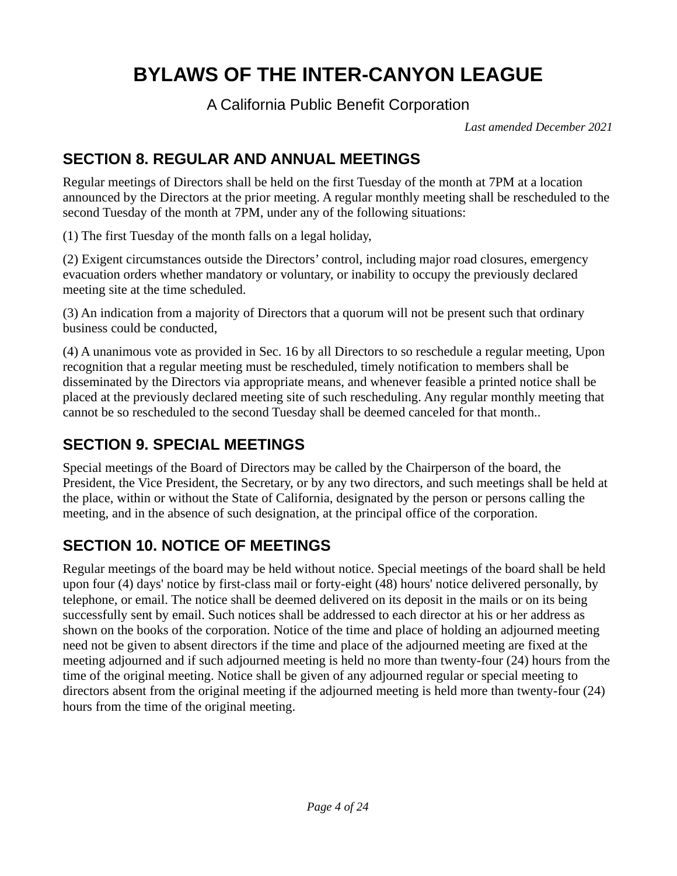A California Public Benefit Corporation

*Last amended December 2021*

#### **SECTION 8. REGULAR AND ANNUAL MEETINGS**

Regular meetings of Directors shall be held on the first Tuesday of the month at 7PM at a location announced by the Directors at the prior meeting. A regular monthly meeting shall be rescheduled to the second Tuesday of the month at 7PM, under any of the following situations:

(1) The first Tuesday of the month falls on a legal holiday,

(2) Exigent circumstances outside the Directors' control, including major road closures, emergency evacuation orders whether mandatory or voluntary, or inability to occupy the previously declared meeting site at the time scheduled.

(3) An indication from a majority of Directors that a quorum will not be present such that ordinary business could be conducted,

(4) A unanimous vote as provided in Sec. 16 by all Directors to so reschedule a regular meeting, Upon recognition that a regular meeting must be rescheduled, timely notification to members shall be disseminated by the Directors via appropriate means, and whenever feasible a printed notice shall be placed at the previously declared meeting site of such rescheduling. Any regular monthly meeting that cannot be so rescheduled to the second Tuesday shall be deemed canceled for that month..

### **SECTION 9. SPECIAL MEETINGS**

Special meetings of the Board of Directors may be called by the Chairperson of the board, the President, the Vice President, the Secretary, or by any two directors, and such meetings shall be held at the place, within or without the State of California, designated by the person or persons calling the meeting, and in the absence of such designation, at the principal office of the corporation.

## **SECTION 10. NOTICE OF MEETINGS**

Regular meetings of the board may be held without notice. Special meetings of the board shall be held upon four (4) days' notice by first-class mail or forty-eight (48) hours' notice delivered personally, by telephone, or email. The notice shall be deemed delivered on its deposit in the mails or on its being successfully sent by email. Such notices shall be addressed to each director at his or her address as shown on the books of the corporation. Notice of the time and place of holding an adjourned meeting need not be given to absent directors if the time and place of the adjourned meeting are fixed at the meeting adjourned and if such adjourned meeting is held no more than twenty-four (24) hours from the time of the original meeting. Notice shall be given of any adjourned regular or special meeting to directors absent from the original meeting if the adjourned meeting is held more than twenty-four (24) hours from the time of the original meeting.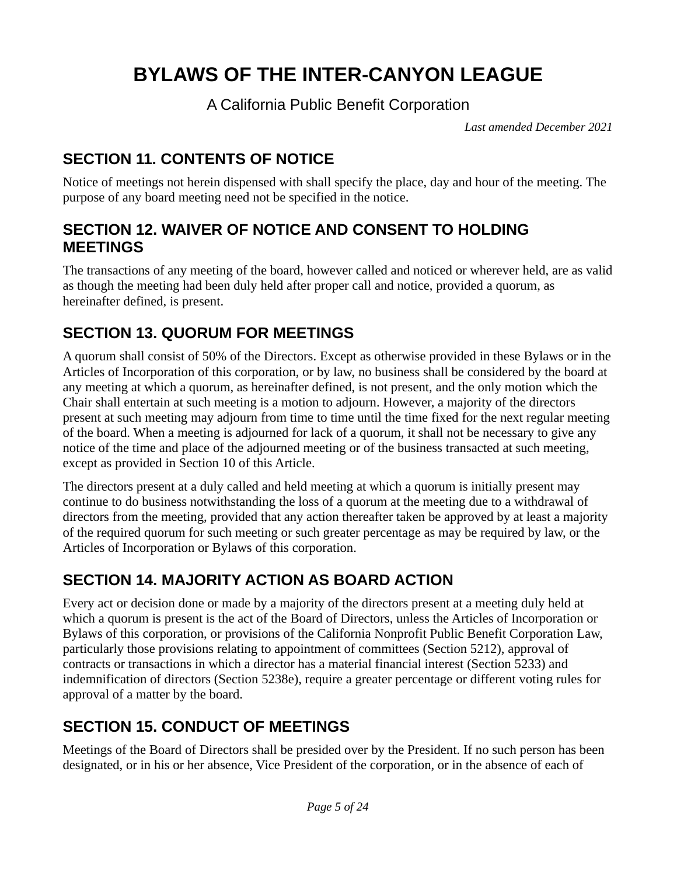A California Public Benefit Corporation

*Last amended December 2021*

### **SECTION 11. CONTENTS OF NOTICE**

Notice of meetings not herein dispensed with shall specify the place, day and hour of the meeting. The purpose of any board meeting need not be specified in the notice.

#### **SECTION 12. WAIVER OF NOTICE AND CONSENT TO HOLDING MEETINGS**

The transactions of any meeting of the board, however called and noticed or wherever held, are as valid as though the meeting had been duly held after proper call and notice, provided a quorum, as hereinafter defined, is present.

## **SECTION 13. QUORUM FOR MEETINGS**

A quorum shall consist of 50% of the Directors. Except as otherwise provided in these Bylaws or in the Articles of Incorporation of this corporation, or by law, no business shall be considered by the board at any meeting at which a quorum, as hereinafter defined, is not present, and the only motion which the Chair shall entertain at such meeting is a motion to adjourn. However, a majority of the directors present at such meeting may adjourn from time to time until the time fixed for the next regular meeting of the board. When a meeting is adjourned for lack of a quorum, it shall not be necessary to give any notice of the time and place of the adjourned meeting or of the business transacted at such meeting, except as provided in Section 10 of this Article.

The directors present at a duly called and held meeting at which a quorum is initially present may continue to do business notwithstanding the loss of a quorum at the meeting due to a withdrawal of directors from the meeting, provided that any action thereafter taken be approved by at least a majority of the required quorum for such meeting or such greater percentage as may be required by law, or the Articles of Incorporation or Bylaws of this corporation.

## **SECTION 14. MAJORITY ACTION AS BOARD ACTION**

Every act or decision done or made by a majority of the directors present at a meeting duly held at which a quorum is present is the act of the Board of Directors, unless the Articles of Incorporation or Bylaws of this corporation, or provisions of the California Nonprofit Public Benefit Corporation Law, particularly those provisions relating to appointment of committees (Section 5212), approval of contracts or transactions in which a director has a material financial interest (Section 5233) and indemnification of directors (Section 5238e), require a greater percentage or different voting rules for approval of a matter by the board.

### **SECTION 15. CONDUCT OF MEETINGS**

Meetings of the Board of Directors shall be presided over by the President. If no such person has been designated, or in his or her absence, Vice President of the corporation, or in the absence of each of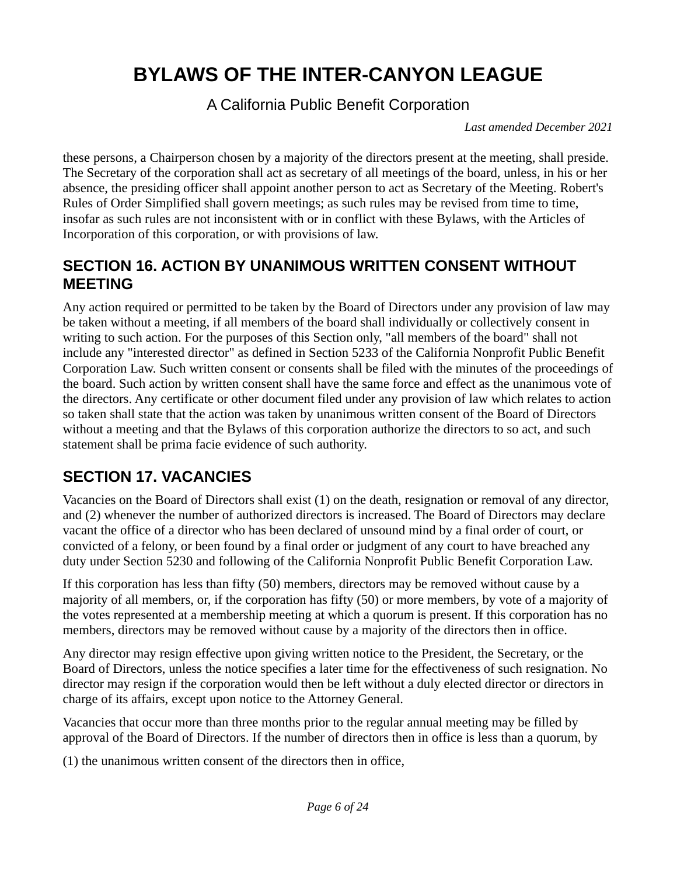A California Public Benefit Corporation

*Last amended December 2021*

these persons, a Chairperson chosen by a majority of the directors present at the meeting, shall preside. The Secretary of the corporation shall act as secretary of all meetings of the board, unless, in his or her absence, the presiding officer shall appoint another person to act as Secretary of the Meeting. Robert's Rules of Order Simplified shall govern meetings; as such rules may be revised from time to time, insofar as such rules are not inconsistent with or in conflict with these Bylaws, with the Articles of Incorporation of this corporation, or with provisions of law.

#### **SECTION 16. ACTION BY UNANIMOUS WRITTEN CONSENT WITHOUT MEETING**

Any action required or permitted to be taken by the Board of Directors under any provision of law may be taken without a meeting, if all members of the board shall individually or collectively consent in writing to such action. For the purposes of this Section only, "all members of the board" shall not include any "interested director" as defined in Section 5233 of the California Nonprofit Public Benefit Corporation Law. Such written consent or consents shall be filed with the minutes of the proceedings of the board. Such action by written consent shall have the same force and effect as the unanimous vote of the directors. Any certificate or other document filed under any provision of law which relates to action so taken shall state that the action was taken by unanimous written consent of the Board of Directors without a meeting and that the Bylaws of this corporation authorize the directors to so act, and such statement shall be prima facie evidence of such authority.

### **SECTION 17. VACANCIES**

Vacancies on the Board of Directors shall exist (1) on the death, resignation or removal of any director, and (2) whenever the number of authorized directors is increased. The Board of Directors may declare vacant the office of a director who has been declared of unsound mind by a final order of court, or convicted of a felony, or been found by a final order or judgment of any court to have breached any duty under Section 5230 and following of the California Nonprofit Public Benefit Corporation Law.

If this corporation has less than fifty (50) members, directors may be removed without cause by a majority of all members, or, if the corporation has fifty (50) or more members, by vote of a majority of the votes represented at a membership meeting at which a quorum is present. If this corporation has no members, directors may be removed without cause by a majority of the directors then in office.

Any director may resign effective upon giving written notice to the President, the Secretary, or the Board of Directors, unless the notice specifies a later time for the effectiveness of such resignation. No director may resign if the corporation would then be left without a duly elected director or directors in charge of its affairs, except upon notice to the Attorney General.

Vacancies that occur more than three months prior to the regular annual meeting may be filled by approval of the Board of Directors. If the number of directors then in office is less than a quorum, by

(1) the unanimous written consent of the directors then in office,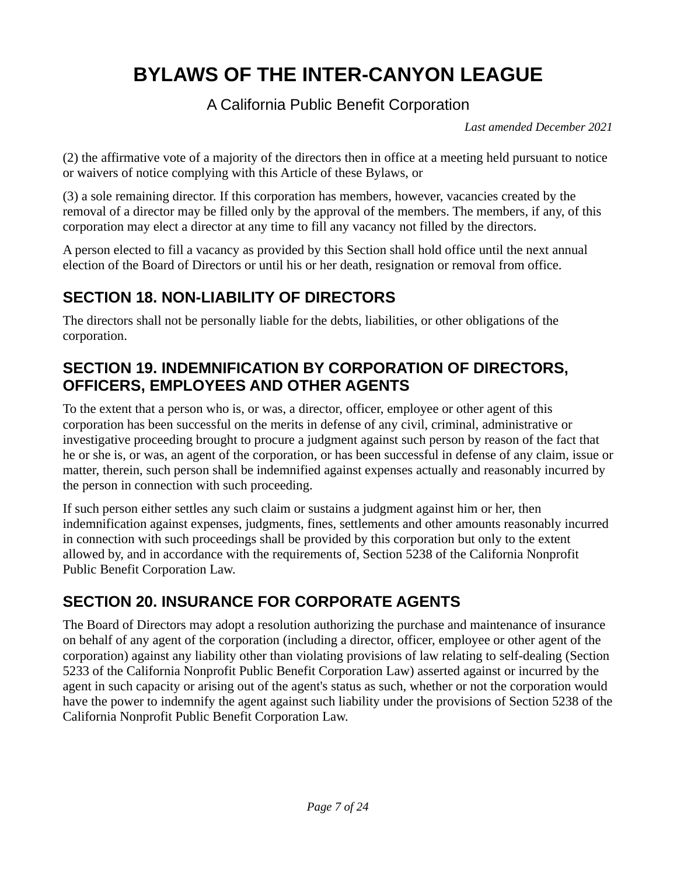#### A California Public Benefit Corporation

*Last amended December 2021*

(2) the affirmative vote of a majority of the directors then in office at a meeting held pursuant to notice or waivers of notice complying with this Article of these Bylaws, or

(3) a sole remaining director. If this corporation has members, however, vacancies created by the removal of a director may be filled only by the approval of the members. The members, if any, of this corporation may elect a director at any time to fill any vacancy not filled by the directors.

A person elected to fill a vacancy as provided by this Section shall hold office until the next annual election of the Board of Directors or until his or her death, resignation or removal from office.

### **SECTION 18. NON-LIABILITY OF DIRECTORS**

The directors shall not be personally liable for the debts, liabilities, or other obligations of the corporation.

#### **SECTION 19. INDEMNIFICATION BY CORPORATION OF DIRECTORS, OFFICERS, EMPLOYEES AND OTHER AGENTS**

To the extent that a person who is, or was, a director, officer, employee or other agent of this corporation has been successful on the merits in defense of any civil, criminal, administrative or investigative proceeding brought to procure a judgment against such person by reason of the fact that he or she is, or was, an agent of the corporation, or has been successful in defense of any claim, issue or matter, therein, such person shall be indemnified against expenses actually and reasonably incurred by the person in connection with such proceeding.

If such person either settles any such claim or sustains a judgment against him or her, then indemnification against expenses, judgments, fines, settlements and other amounts reasonably incurred in connection with such proceedings shall be provided by this corporation but only to the extent allowed by, and in accordance with the requirements of, Section 5238 of the California Nonprofit Public Benefit Corporation Law.

## **SECTION 20. INSURANCE FOR CORPORATE AGENTS**

The Board of Directors may adopt a resolution authorizing the purchase and maintenance of insurance on behalf of any agent of the corporation (including a director, officer, employee or other agent of the corporation) against any liability other than violating provisions of law relating to self-dealing (Section 5233 of the California Nonprofit Public Benefit Corporation Law) asserted against or incurred by the agent in such capacity or arising out of the agent's status as such, whether or not the corporation would have the power to indemnify the agent against such liability under the provisions of Section 5238 of the California Nonprofit Public Benefit Corporation Law.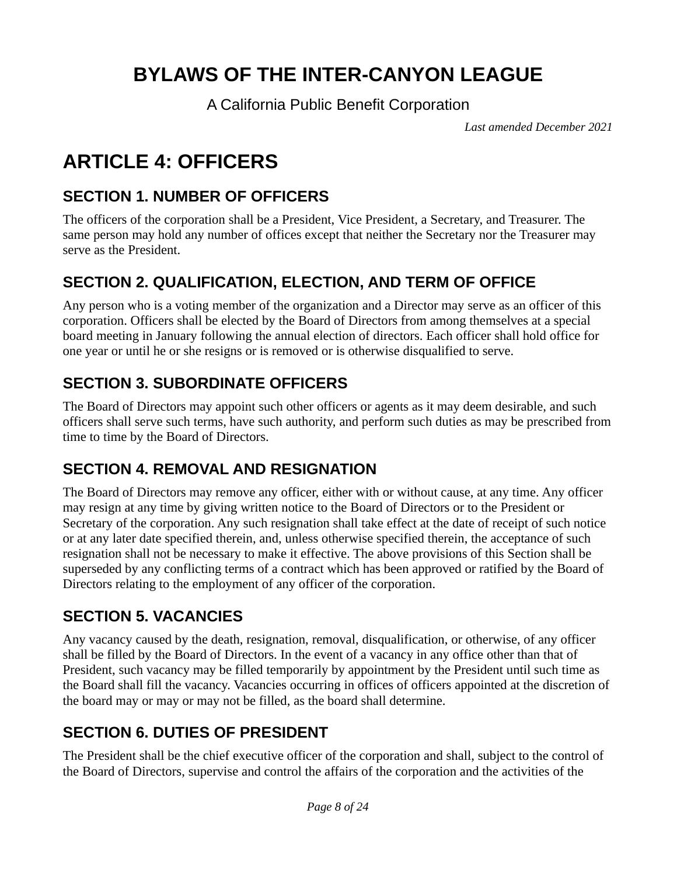A California Public Benefit Corporation

*Last amended December 2021*

# **ARTICLE 4: OFFICERS**

### **SECTION 1. NUMBER OF OFFICERS**

The officers of the corporation shall be a President, Vice President, a Secretary, and Treasurer. The same person may hold any number of offices except that neither the Secretary nor the Treasurer may serve as the President.

## **SECTION 2. QUALIFICATION, ELECTION, AND TERM OF OFFICE**

Any person who is a voting member of the organization and a Director may serve as an officer of this corporation. Officers shall be elected by the Board of Directors from among themselves at a special board meeting in January following the annual election of directors. Each officer shall hold office for one year or until he or she resigns or is removed or is otherwise disqualified to serve.

### **SECTION 3. SUBORDINATE OFFICERS**

The Board of Directors may appoint such other officers or agents as it may deem desirable, and such officers shall serve such terms, have such authority, and perform such duties as may be prescribed from time to time by the Board of Directors.

## **SECTION 4. REMOVAL AND RESIGNATION**

The Board of Directors may remove any officer, either with or without cause, at any time. Any officer may resign at any time by giving written notice to the Board of Directors or to the President or Secretary of the corporation. Any such resignation shall take effect at the date of receipt of such notice or at any later date specified therein, and, unless otherwise specified therein, the acceptance of such resignation shall not be necessary to make it effective. The above provisions of this Section shall be superseded by any conflicting terms of a contract which has been approved or ratified by the Board of Directors relating to the employment of any officer of the corporation.

### **SECTION 5. VACANCIES**

Any vacancy caused by the death, resignation, removal, disqualification, or otherwise, of any officer shall be filled by the Board of Directors. In the event of a vacancy in any office other than that of President, such vacancy may be filled temporarily by appointment by the President until such time as the Board shall fill the vacancy. Vacancies occurring in offices of officers appointed at the discretion of the board may or may or may not be filled, as the board shall determine.

### **SECTION 6. DUTIES OF PRESIDENT**

The President shall be the chief executive officer of the corporation and shall, subject to the control of the Board of Directors, supervise and control the affairs of the corporation and the activities of the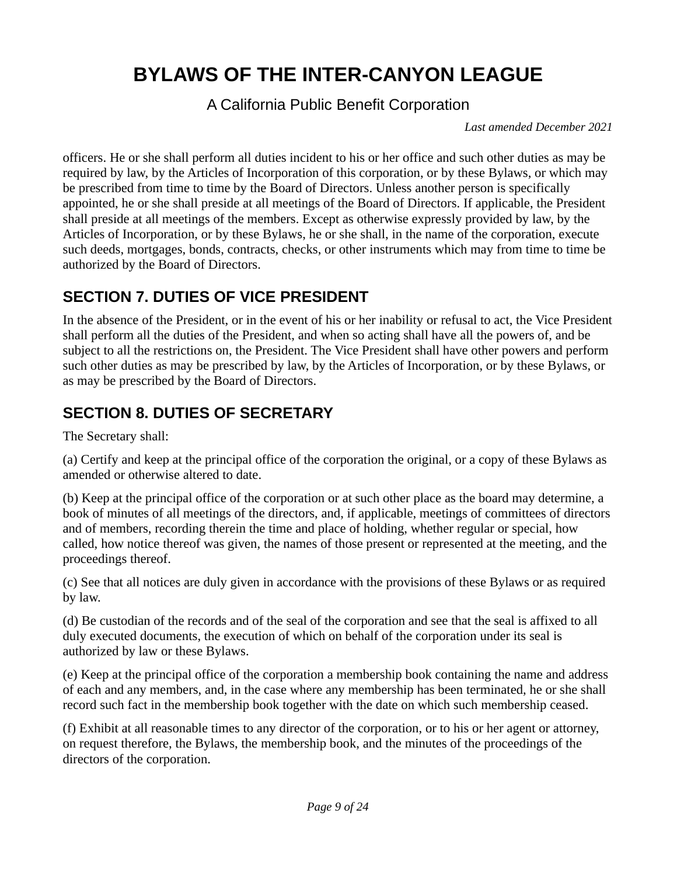A California Public Benefit Corporation

*Last amended December 2021*

officers. He or she shall perform all duties incident to his or her office and such other duties as may be required by law, by the Articles of Incorporation of this corporation, or by these Bylaws, or which may be prescribed from time to time by the Board of Directors. Unless another person is specifically appointed, he or she shall preside at all meetings of the Board of Directors. If applicable, the President shall preside at all meetings of the members. Except as otherwise expressly provided by law, by the Articles of Incorporation, or by these Bylaws, he or she shall, in the name of the corporation, execute such deeds, mortgages, bonds, contracts, checks, or other instruments which may from time to time be authorized by the Board of Directors.

### **SECTION 7. DUTIES OF VICE PRESIDENT**

In the absence of the President, or in the event of his or her inability or refusal to act, the Vice President shall perform all the duties of the President, and when so acting shall have all the powers of, and be subject to all the restrictions on, the President. The Vice President shall have other powers and perform such other duties as may be prescribed by law, by the Articles of Incorporation, or by these Bylaws, or as may be prescribed by the Board of Directors.

#### **SECTION 8. DUTIES OF SECRETARY**

The Secretary shall:

(a) Certify and keep at the principal office of the corporation the original, or a copy of these Bylaws as amended or otherwise altered to date.

(b) Keep at the principal office of the corporation or at such other place as the board may determine, a book of minutes of all meetings of the directors, and, if applicable, meetings of committees of directors and of members, recording therein the time and place of holding, whether regular or special, how called, how notice thereof was given, the names of those present or represented at the meeting, and the proceedings thereof.

(c) See that all notices are duly given in accordance with the provisions of these Bylaws or as required by law.

(d) Be custodian of the records and of the seal of the corporation and see that the seal is affixed to all duly executed documents, the execution of which on behalf of the corporation under its seal is authorized by law or these Bylaws.

(e) Keep at the principal office of the corporation a membership book containing the name and address of each and any members, and, in the case where any membership has been terminated, he or she shall record such fact in the membership book together with the date on which such membership ceased.

(f) Exhibit at all reasonable times to any director of the corporation, or to his or her agent or attorney, on request therefore, the Bylaws, the membership book, and the minutes of the proceedings of the directors of the corporation.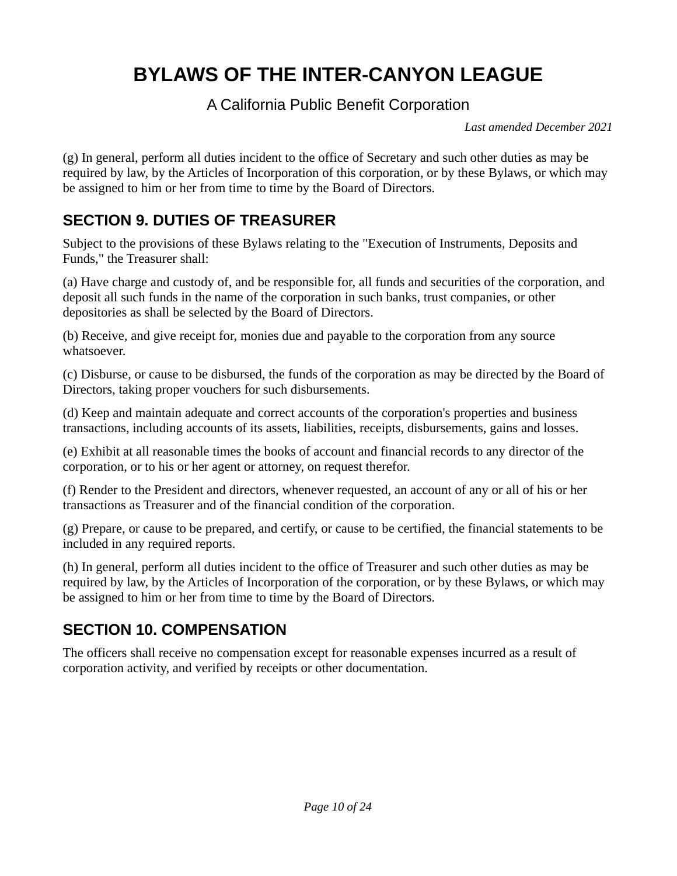#### A California Public Benefit Corporation

*Last amended December 2021*

(g) In general, perform all duties incident to the office of Secretary and such other duties as may be required by law, by the Articles of Incorporation of this corporation, or by these Bylaws, or which may be assigned to him or her from time to time by the Board of Directors.

#### **SECTION 9. DUTIES OF TREASURER**

Subject to the provisions of these Bylaws relating to the "Execution of Instruments, Deposits and Funds," the Treasurer shall:

(a) Have charge and custody of, and be responsible for, all funds and securities of the corporation, and deposit all such funds in the name of the corporation in such banks, trust companies, or other depositories as shall be selected by the Board of Directors.

(b) Receive, and give receipt for, monies due and payable to the corporation from any source whatsoever.

(c) Disburse, or cause to be disbursed, the funds of the corporation as may be directed by the Board of Directors, taking proper vouchers for such disbursements.

(d) Keep and maintain adequate and correct accounts of the corporation's properties and business transactions, including accounts of its assets, liabilities, receipts, disbursements, gains and losses.

(e) Exhibit at all reasonable times the books of account and financial records to any director of the corporation, or to his or her agent or attorney, on request therefor.

(f) Render to the President and directors, whenever requested, an account of any or all of his or her transactions as Treasurer and of the financial condition of the corporation.

(g) Prepare, or cause to be prepared, and certify, or cause to be certified, the financial statements to be included in any required reports.

(h) In general, perform all duties incident to the office of Treasurer and such other duties as may be required by law, by the Articles of Incorporation of the corporation, or by these Bylaws, or which may be assigned to him or her from time to time by the Board of Directors.

#### **SECTION 10. COMPENSATION**

The officers shall receive no compensation except for reasonable expenses incurred as a result of corporation activity, and verified by receipts or other documentation.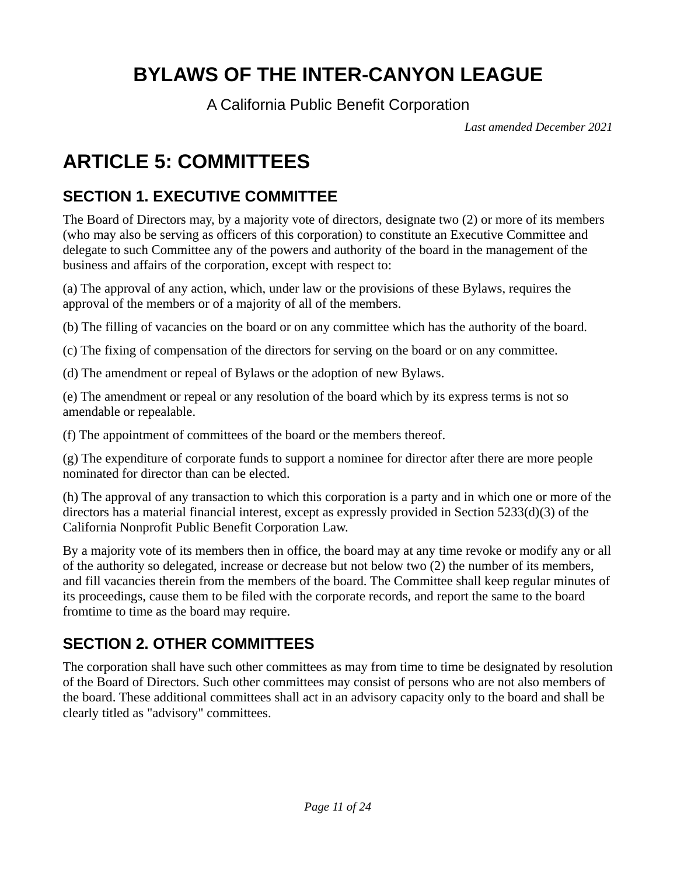A California Public Benefit Corporation

*Last amended December 2021*

# **ARTICLE 5: COMMITTEES**

## **SECTION 1. EXECUTIVE COMMITTEE**

The Board of Directors may, by a majority vote of directors, designate two (2) or more of its members (who may also be serving as officers of this corporation) to constitute an Executive Committee and delegate to such Committee any of the powers and authority of the board in the management of the business and affairs of the corporation, except with respect to:

(a) The approval of any action, which, under law or the provisions of these Bylaws, requires the approval of the members or of a majority of all of the members.

(b) The filling of vacancies on the board or on any committee which has the authority of the board.

(c) The fixing of compensation of the directors for serving on the board or on any committee.

(d) The amendment or repeal of Bylaws or the adoption of new Bylaws.

(e) The amendment or repeal or any resolution of the board which by its express terms is not so amendable or repealable.

(f) The appointment of committees of the board or the members thereof.

(g) The expenditure of corporate funds to support a nominee for director after there are more people nominated for director than can be elected.

(h) The approval of any transaction to which this corporation is a party and in which one or more of the directors has a material financial interest, except as expressly provided in Section 5233(d)(3) of the California Nonprofit Public Benefit Corporation Law.

By a majority vote of its members then in office, the board may at any time revoke or modify any or all of the authority so delegated, increase or decrease but not below two (2) the number of its members, and fill vacancies therein from the members of the board. The Committee shall keep regular minutes of its proceedings, cause them to be filed with the corporate records, and report the same to the board fromtime to time as the board may require.

## **SECTION 2. OTHER COMMITTEES**

The corporation shall have such other committees as may from time to time be designated by resolution of the Board of Directors. Such other committees may consist of persons who are not also members of the board. These additional committees shall act in an advisory capacity only to the board and shall be clearly titled as "advisory" committees.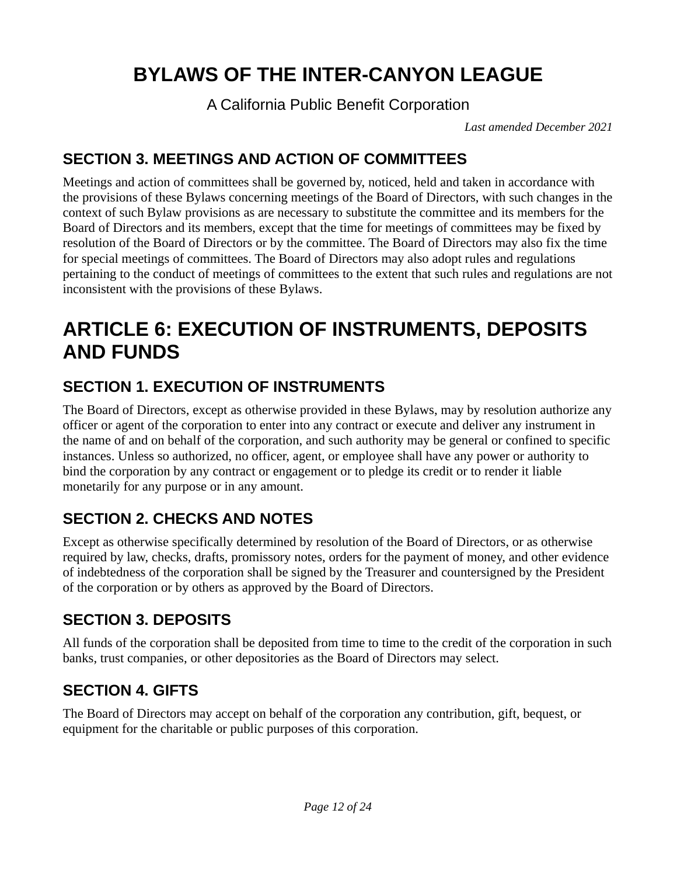A California Public Benefit Corporation

*Last amended December 2021*

### **SECTION 3. MEETINGS AND ACTION OF COMMITTEES**

Meetings and action of committees shall be governed by, noticed, held and taken in accordance with the provisions of these Bylaws concerning meetings of the Board of Directors, with such changes in the context of such Bylaw provisions as are necessary to substitute the committee and its members for the Board of Directors and its members, except that the time for meetings of committees may be fixed by resolution of the Board of Directors or by the committee. The Board of Directors may also fix the time for special meetings of committees. The Board of Directors may also adopt rules and regulations pertaining to the conduct of meetings of committees to the extent that such rules and regulations are not inconsistent with the provisions of these Bylaws.

## **ARTICLE 6: EXECUTION OF INSTRUMENTS, DEPOSITS AND FUNDS**

### **SECTION 1. EXECUTION OF INSTRUMENTS**

The Board of Directors, except as otherwise provided in these Bylaws, may by resolution authorize any officer or agent of the corporation to enter into any contract or execute and deliver any instrument in the name of and on behalf of the corporation, and such authority may be general or confined to specific instances. Unless so authorized, no officer, agent, or employee shall have any power or authority to bind the corporation by any contract or engagement or to pledge its credit or to render it liable monetarily for any purpose or in any amount.

### **SECTION 2. CHECKS AND NOTES**

Except as otherwise specifically determined by resolution of the Board of Directors, or as otherwise required by law, checks, drafts, promissory notes, orders for the payment of money, and other evidence of indebtedness of the corporation shall be signed by the Treasurer and countersigned by the President of the corporation or by others as approved by the Board of Directors.

#### **SECTION 3. DEPOSITS**

All funds of the corporation shall be deposited from time to time to the credit of the corporation in such banks, trust companies, or other depositories as the Board of Directors may select.

### **SECTION 4. GIFTS**

The Board of Directors may accept on behalf of the corporation any contribution, gift, bequest, or equipment for the charitable or public purposes of this corporation.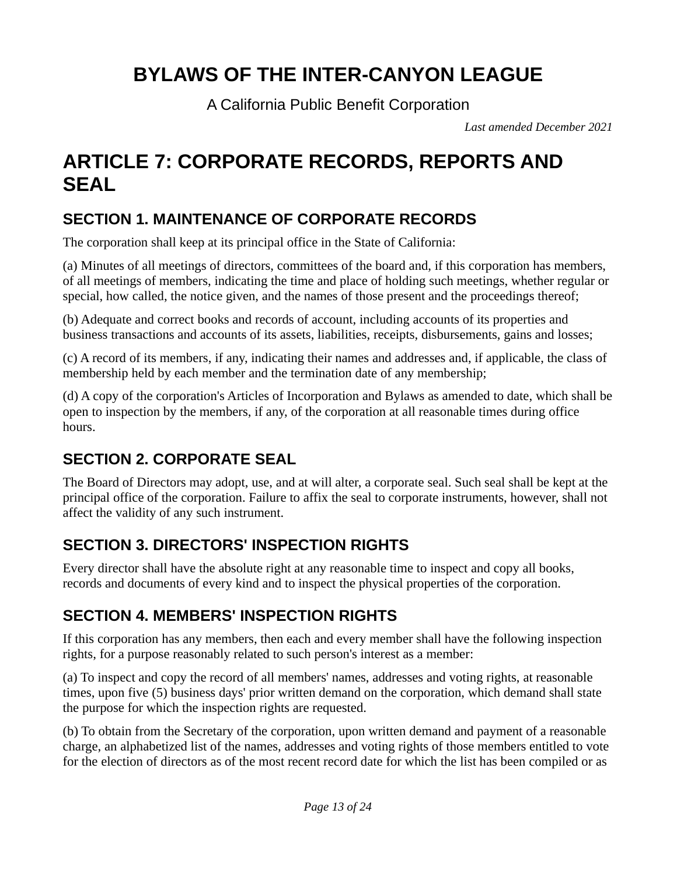A California Public Benefit Corporation

*Last amended December 2021*

# **ARTICLE 7: CORPORATE RECORDS, REPORTS AND SEAL**

## **SECTION 1. MAINTENANCE OF CORPORATE RECORDS**

The corporation shall keep at its principal office in the State of California:

(a) Minutes of all meetings of directors, committees of the board and, if this corporation has members, of all meetings of members, indicating the time and place of holding such meetings, whether regular or special, how called, the notice given, and the names of those present and the proceedings thereof;

(b) Adequate and correct books and records of account, including accounts of its properties and business transactions and accounts of its assets, liabilities, receipts, disbursements, gains and losses;

(c) A record of its members, if any, indicating their names and addresses and, if applicable, the class of membership held by each member and the termination date of any membership;

(d) A copy of the corporation's Articles of Incorporation and Bylaws as amended to date, which shall be open to inspection by the members, if any, of the corporation at all reasonable times during office hours.

## **SECTION 2. CORPORATE SEAL**

The Board of Directors may adopt, use, and at will alter, a corporate seal. Such seal shall be kept at the principal office of the corporation. Failure to affix the seal to corporate instruments, however, shall not affect the validity of any such instrument.

## **SECTION 3. DIRECTORS' INSPECTION RIGHTS**

Every director shall have the absolute right at any reasonable time to inspect and copy all books, records and documents of every kind and to inspect the physical properties of the corporation.

## **SECTION 4. MEMBERS' INSPECTION RIGHTS**

If this corporation has any members, then each and every member shall have the following inspection rights, for a purpose reasonably related to such person's interest as a member:

(a) To inspect and copy the record of all members' names, addresses and voting rights, at reasonable times, upon five (5) business days' prior written demand on the corporation, which demand shall state the purpose for which the inspection rights are requested.

(b) To obtain from the Secretary of the corporation, upon written demand and payment of a reasonable charge, an alphabetized list of the names, addresses and voting rights of those members entitled to vote for the election of directors as of the most recent record date for which the list has been compiled or as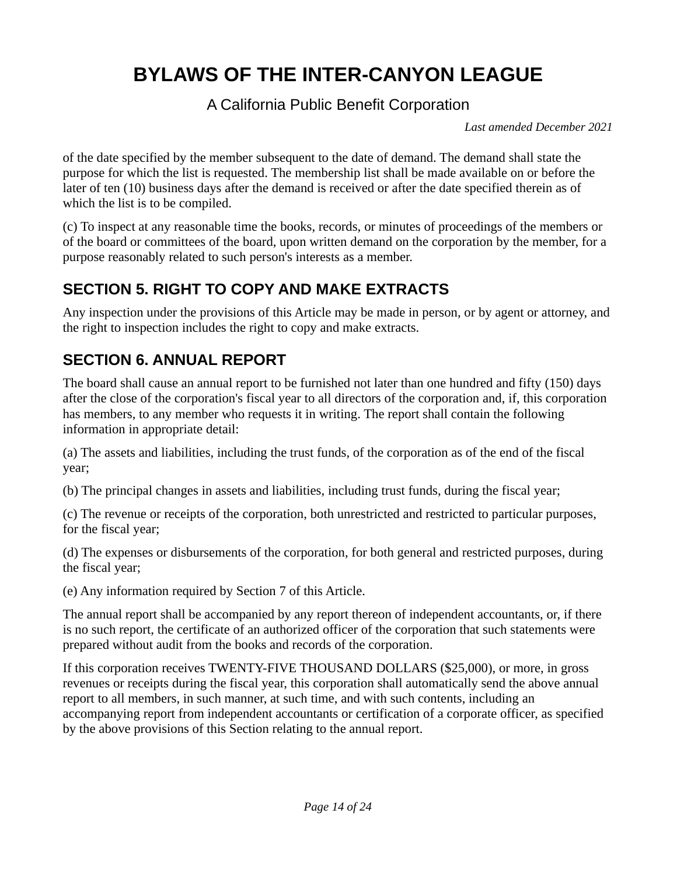#### A California Public Benefit Corporation

*Last amended December 2021*

of the date specified by the member subsequent to the date of demand. The demand shall state the purpose for which the list is requested. The membership list shall be made available on or before the later of ten (10) business days after the demand is received or after the date specified therein as of which the list is to be compiled.

(c) To inspect at any reasonable time the books, records, or minutes of proceedings of the members or of the board or committees of the board, upon written demand on the corporation by the member, for a purpose reasonably related to such person's interests as a member.

### **SECTION 5. RIGHT TO COPY AND MAKE EXTRACTS**

Any inspection under the provisions of this Article may be made in person, or by agent or attorney, and the right to inspection includes the right to copy and make extracts.

### **SECTION 6. ANNUAL REPORT**

The board shall cause an annual report to be furnished not later than one hundred and fifty (150) days after the close of the corporation's fiscal year to all directors of the corporation and, if, this corporation has members, to any member who requests it in writing. The report shall contain the following information in appropriate detail:

(a) The assets and liabilities, including the trust funds, of the corporation as of the end of the fiscal year;

(b) The principal changes in assets and liabilities, including trust funds, during the fiscal year;

(c) The revenue or receipts of the corporation, both unrestricted and restricted to particular purposes, for the fiscal year;

(d) The expenses or disbursements of the corporation, for both general and restricted purposes, during the fiscal year;

(e) Any information required by Section 7 of this Article.

The annual report shall be accompanied by any report thereon of independent accountants, or, if there is no such report, the certificate of an authorized officer of the corporation that such statements were prepared without audit from the books and records of the corporation.

If this corporation receives TWENTY-FIVE THOUSAND DOLLARS (\$25,000), or more, in gross revenues or receipts during the fiscal year, this corporation shall automatically send the above annual report to all members, in such manner, at such time, and with such contents, including an accompanying report from independent accountants or certification of a corporate officer, as specified by the above provisions of this Section relating to the annual report.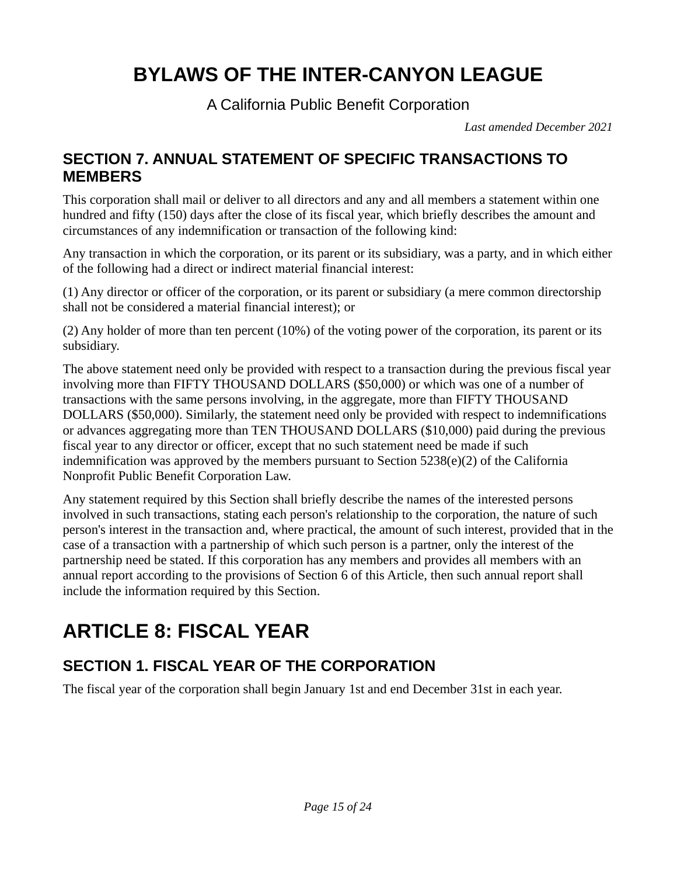A California Public Benefit Corporation

*Last amended December 2021*

#### **SECTION 7. ANNUAL STATEMENT OF SPECIFIC TRANSACTIONS TO MEMBERS**

This corporation shall mail or deliver to all directors and any and all members a statement within one hundred and fifty (150) days after the close of its fiscal year, which briefly describes the amount and circumstances of any indemnification or transaction of the following kind:

Any transaction in which the corporation, or its parent or its subsidiary, was a party, and in which either of the following had a direct or indirect material financial interest:

(1) Any director or officer of the corporation, or its parent or subsidiary (a mere common directorship shall not be considered a material financial interest); or

(2) Any holder of more than ten percent (10%) of the voting power of the corporation, its parent or its subsidiary.

The above statement need only be provided with respect to a transaction during the previous fiscal year involving more than FIFTY THOUSAND DOLLARS (\$50,000) or which was one of a number of transactions with the same persons involving, in the aggregate, more than FIFTY THOUSAND DOLLARS (\$50,000). Similarly, the statement need only be provided with respect to indemnifications or advances aggregating more than TEN THOUSAND DOLLARS (\$10,000) paid during the previous fiscal year to any director or officer, except that no such statement need be made if such indemnification was approved by the members pursuant to Section  $5238(e)(2)$  of the California Nonprofit Public Benefit Corporation Law.

Any statement required by this Section shall briefly describe the names of the interested persons involved in such transactions, stating each person's relationship to the corporation, the nature of such person's interest in the transaction and, where practical, the amount of such interest, provided that in the case of a transaction with a partnership of which such person is a partner, only the interest of the partnership need be stated. If this corporation has any members and provides all members with an annual report according to the provisions of Section 6 of this Article, then such annual report shall include the information required by this Section.

# **ARTICLE 8: FISCAL YEAR**

## **SECTION 1. FISCAL YEAR OF THE CORPORATION**

The fiscal year of the corporation shall begin January 1st and end December 31st in each year.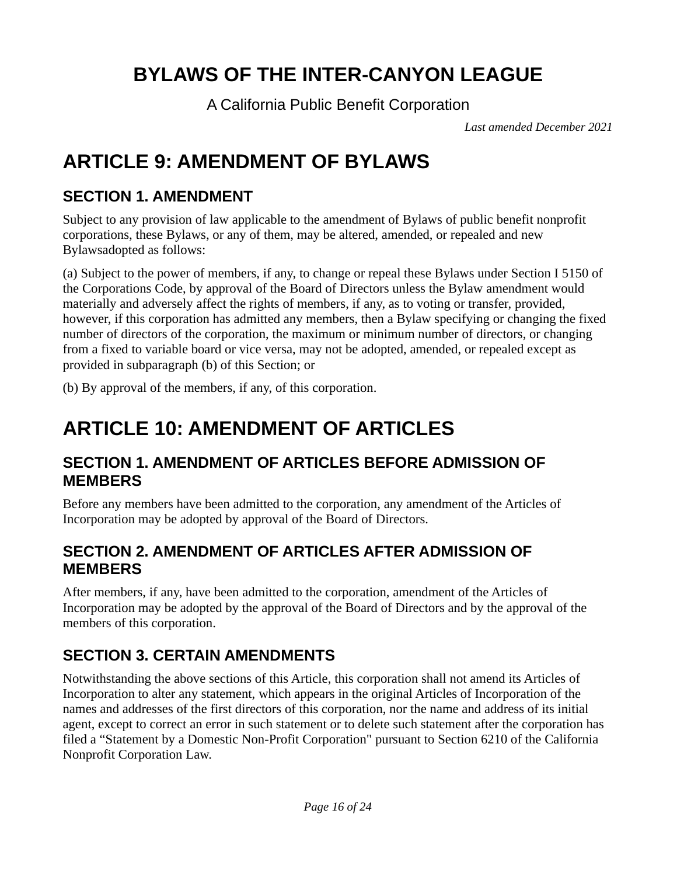A California Public Benefit Corporation

*Last amended December 2021*

# **ARTICLE 9: AMENDMENT OF BYLAWS**

### **SECTION 1. AMENDMENT**

Subject to any provision of law applicable to the amendment of Bylaws of public benefit nonprofit corporations, these Bylaws, or any of them, may be altered, amended, or repealed and new Bylawsadopted as follows:

(a) Subject to the power of members, if any, to change or repeal these Bylaws under Section I 5150 of the Corporations Code, by approval of the Board of Directors unless the Bylaw amendment would materially and adversely affect the rights of members, if any, as to voting or transfer, provided, however, if this corporation has admitted any members, then a Bylaw specifying or changing the fixed number of directors of the corporation, the maximum or minimum number of directors, or changing from a fixed to variable board or vice versa, may not be adopted, amended, or repealed except as provided in subparagraph (b) of this Section; or

(b) By approval of the members, if any, of this corporation.

# **ARTICLE 10: AMENDMENT OF ARTICLES**

#### **SECTION 1. AMENDMENT OF ARTICLES BEFORE ADMISSION OF MEMBERS**

Before any members have been admitted to the corporation, any amendment of the Articles of Incorporation may be adopted by approval of the Board of Directors.

#### **SECTION 2. AMENDMENT OF ARTICLES AFTER ADMISSION OF MEMBERS**

After members, if any, have been admitted to the corporation, amendment of the Articles of Incorporation may be adopted by the approval of the Board of Directors and by the approval of the members of this corporation.

## **SECTION 3. CERTAIN AMENDMENTS**

Notwithstanding the above sections of this Article, this corporation shall not amend its Articles of Incorporation to alter any statement, which appears in the original Articles of Incorporation of the names and addresses of the first directors of this corporation, nor the name and address of its initial agent, except to correct an error in such statement or to delete such statement after the corporation has filed a "Statement by a Domestic Non-Profit Corporation" pursuant to Section 6210 of the California Nonprofit Corporation Law.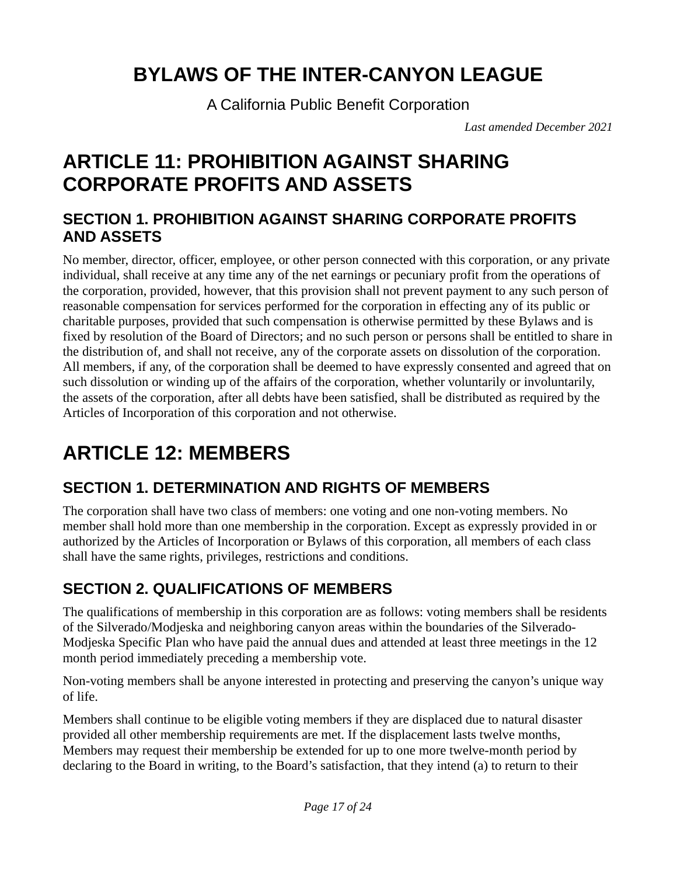A California Public Benefit Corporation

*Last amended December 2021*

# **ARTICLE 11: PROHIBITION AGAINST SHARING CORPORATE PROFITS AND ASSETS**

#### **SECTION 1. PROHIBITION AGAINST SHARING CORPORATE PROFITS AND ASSETS**

No member, director, officer, employee, or other person connected with this corporation, or any private individual, shall receive at any time any of the net earnings or pecuniary profit from the operations of the corporation, provided, however, that this provision shall not prevent payment to any such person of reasonable compensation for services performed for the corporation in effecting any of its public or charitable purposes, provided that such compensation is otherwise permitted by these Bylaws and is fixed by resolution of the Board of Directors; and no such person or persons shall be entitled to share in the distribution of, and shall not receive, any of the corporate assets on dissolution of the corporation. All members, if any, of the corporation shall be deemed to have expressly consented and agreed that on such dissolution or winding up of the affairs of the corporation, whether voluntarily or involuntarily, the assets of the corporation, after all debts have been satisfied, shall be distributed as required by the Articles of Incorporation of this corporation and not otherwise.

# **ARTICLE 12: MEMBERS**

## **SECTION 1. DETERMINATION AND RIGHTS OF MEMBERS**

The corporation shall have two class of members: one voting and one non-voting members. No member shall hold more than one membership in the corporation. Except as expressly provided in or authorized by the Articles of Incorporation or Bylaws of this corporation, all members of each class shall have the same rights, privileges, restrictions and conditions.

## **SECTION 2. QUALIFICATIONS OF MEMBERS**

The qualifications of membership in this corporation are as follows: voting members shall be residents of the Silverado/Modjeska and neighboring canyon areas within the boundaries of the Silverado-Modjeska Specific Plan who have paid the annual dues and attended at least three meetings in the 12 month period immediately preceding a membership vote.

Non-voting members shall be anyone interested in protecting and preserving the canyon's unique way of life.

Members shall continue to be eligible voting members if they are displaced due to natural disaster provided all other membership requirements are met. If the displacement lasts twelve months, Members may request their membership be extended for up to one more twelve-month period by declaring to the Board in writing, to the Board's satisfaction, that they intend (a) to return to their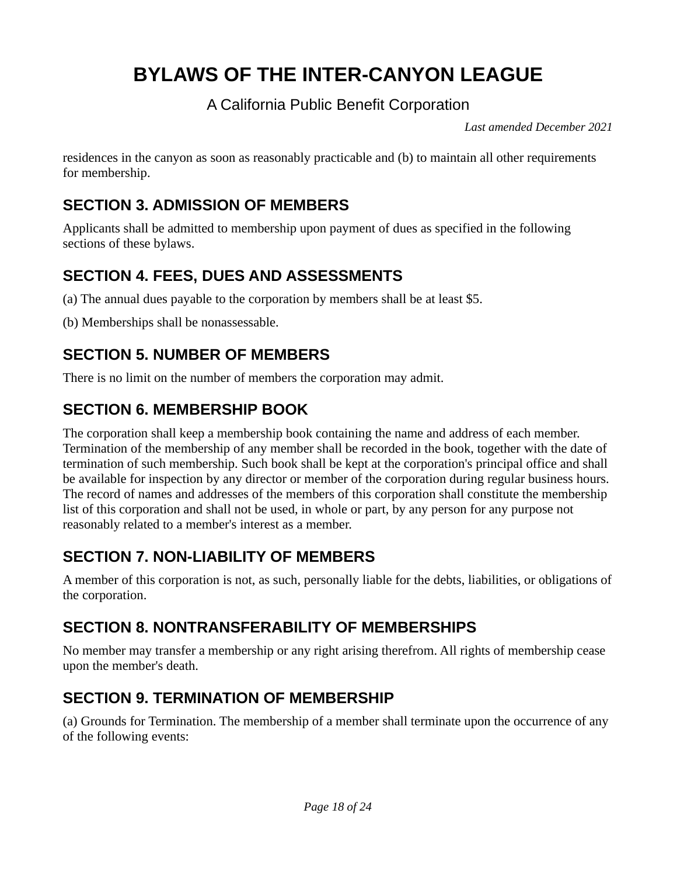#### A California Public Benefit Corporation

*Last amended December 2021*

residences in the canyon as soon as reasonably practicable and (b) to maintain all other requirements for membership.

#### **SECTION 3. ADMISSION OF MEMBERS**

Applicants shall be admitted to membership upon payment of dues as specified in the following sections of these bylaws.

### **SECTION 4. FEES, DUES AND ASSESSMENTS**

- (a) The annual dues payable to the corporation by members shall be at least \$5.
- (b) Memberships shall be nonassessable.

#### **SECTION 5. NUMBER OF MEMBERS**

There is no limit on the number of members the corporation may admit.

#### **SECTION 6. MEMBERSHIP BOOK**

The corporation shall keep a membership book containing the name and address of each member. Termination of the membership of any member shall be recorded in the book, together with the date of termination of such membership. Such book shall be kept at the corporation's principal office and shall be available for inspection by any director or member of the corporation during regular business hours. The record of names and addresses of the members of this corporation shall constitute the membership list of this corporation and shall not be used, in whole or part, by any person for any purpose not reasonably related to a member's interest as a member.

### **SECTION 7. NON-LIABILITY OF MEMBERS**

A member of this corporation is not, as such, personally liable for the debts, liabilities, or obligations of the corporation.

#### **SECTION 8. NONTRANSFERABILITY OF MEMBERSHIPS**

No member may transfer a membership or any right arising therefrom. All rights of membership cease upon the member's death.

#### **SECTION 9. TERMINATION OF MEMBERSHIP**

(a) Grounds for Termination. The membership of a member shall terminate upon the occurrence of any of the following events: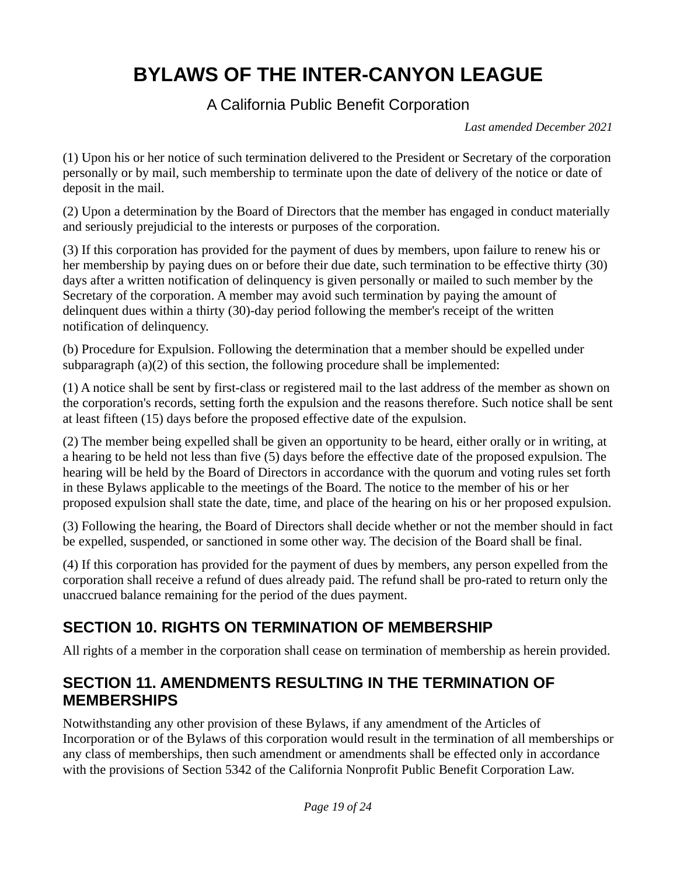#### A California Public Benefit Corporation

*Last amended December 2021*

(1) Upon his or her notice of such termination delivered to the President or Secretary of the corporation personally or by mail, such membership to terminate upon the date of delivery of the notice or date of deposit in the mail.

(2) Upon a determination by the Board of Directors that the member has engaged in conduct materially and seriously prejudicial to the interests or purposes of the corporation.

(3) If this corporation has provided for the payment of dues by members, upon failure to renew his or her membership by paying dues on or before their due date, such termination to be effective thirty (30) days after a written notification of delinquency is given personally or mailed to such member by the Secretary of the corporation. A member may avoid such termination by paying the amount of delinquent dues within a thirty (30)-day period following the member's receipt of the written notification of delinquency.

(b) Procedure for Expulsion. Following the determination that a member should be expelled under subparagraph (a)(2) of this section, the following procedure shall be implemented:

(1) A notice shall be sent by first-class or registered mail to the last address of the member as shown on the corporation's records, setting forth the expulsion and the reasons therefore. Such notice shall be sent at least fifteen (15) days before the proposed effective date of the expulsion.

(2) The member being expelled shall be given an opportunity to be heard, either orally or in writing, at a hearing to be held not less than five (5) days before the effective date of the proposed expulsion. The hearing will be held by the Board of Directors in accordance with the quorum and voting rules set forth in these Bylaws applicable to the meetings of the Board. The notice to the member of his or her proposed expulsion shall state the date, time, and place of the hearing on his or her proposed expulsion.

(3) Following the hearing, the Board of Directors shall decide whether or not the member should in fact be expelled, suspended, or sanctioned in some other way. The decision of the Board shall be final.

(4) If this corporation has provided for the payment of dues by members, any person expelled from the corporation shall receive a refund of dues already paid. The refund shall be pro-rated to return only the unaccrued balance remaining for the period of the dues payment.

## **SECTION 10. RIGHTS ON TERMINATION OF MEMBERSHIP**

All rights of a member in the corporation shall cease on termination of membership as herein provided.

#### **SECTION 11. AMENDMENTS RESULTING IN THE TERMINATION OF MEMBERSHIPS**

Notwithstanding any other provision of these Bylaws, if any amendment of the Articles of Incorporation or of the Bylaws of this corporation would result in the termination of all memberships or any class of memberships, then such amendment or amendments shall be effected only in accordance with the provisions of Section 5342 of the California Nonprofit Public Benefit Corporation Law.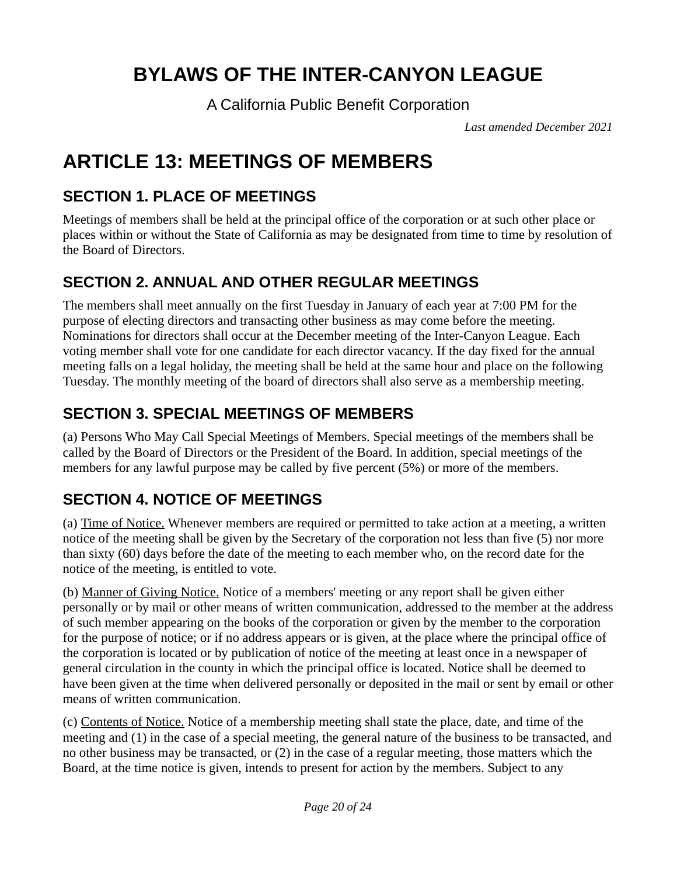A California Public Benefit Corporation

*Last amended December 2021*

# **ARTICLE 13: MEETINGS OF MEMBERS**

## **SECTION 1. PLACE OF MEETINGS**

Meetings of members shall be held at the principal office of the corporation or at such other place or places within or without the State of California as may be designated from time to time by resolution of the Board of Directors.

### **SECTION 2. ANNUAL AND OTHER REGULAR MEETINGS**

The members shall meet annually on the first Tuesday in January of each year at 7:00 PM for the purpose of electing directors and transacting other business as may come before the meeting. Nominations for directors shall occur at the December meeting of the Inter-Canyon League. Each voting member shall vote for one candidate for each director vacancy. If the day fixed for the annual meeting falls on a legal holiday, the meeting shall be held at the same hour and place on the following Tuesday. The monthly meeting of the board of directors shall also serve as a membership meeting.

#### **SECTION 3. SPECIAL MEETINGS OF MEMBERS**

(a) Persons Who May Call Special Meetings of Members. Special meetings of the members shall be called by the Board of Directors or the President of the Board. In addition, special meetings of the members for any lawful purpose may be called by five percent (5%) or more of the members.

### **SECTION 4. NOTICE OF MEETINGS**

(a) Time of Notice. Whenever members are required or permitted to take action at a meeting, a written notice of the meeting shall be given by the Secretary of the corporation not less than five (5) nor more than sixty (60) days before the date of the meeting to each member who, on the record date for the notice of the meeting, is entitled to vote.

(b) Manner of Giving Notice. Notice of a members' meeting or any report shall be given either personally or by mail or other means of written communication, addressed to the member at the address of such member appearing on the books of the corporation or given by the member to the corporation for the purpose of notice; or if no address appears or is given, at the place where the principal office of the corporation is located or by publication of notice of the meeting at least once in a newspaper of general circulation in the county in which the principal office is located. Notice shall be deemed to have been given at the time when delivered personally or deposited in the mail or sent by email or other means of written communication.

(c) Contents of Notice. Notice of a membership meeting shall state the place, date, and time of the meeting and (1) in the case of a special meeting, the general nature of the business to be transacted, and no other business may be transacted, or (2) in the case of a regular meeting, those matters which the Board, at the time notice is given, intends to present for action by the members. Subject to any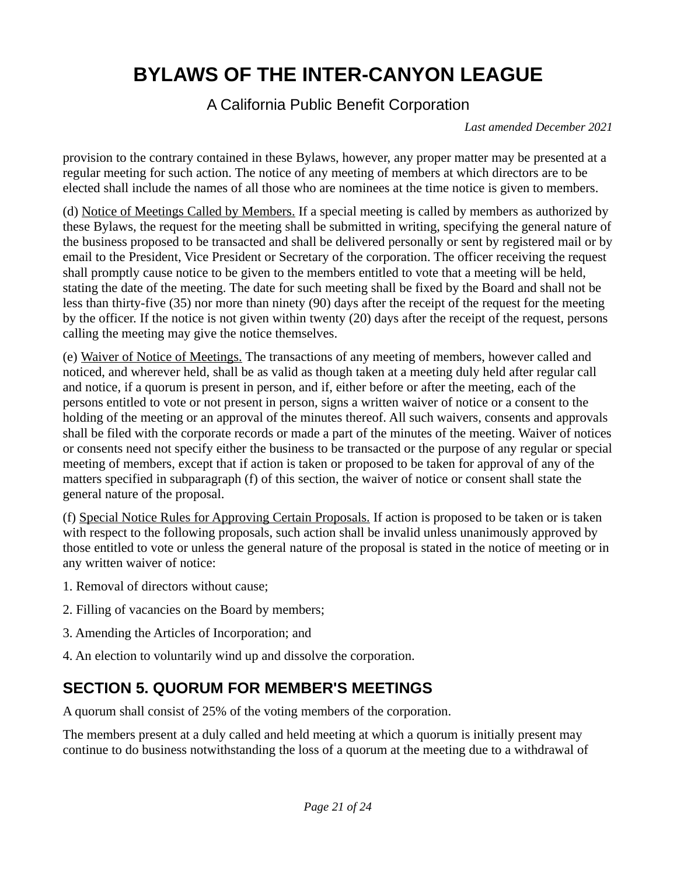#### A California Public Benefit Corporation

*Last amended December 2021*

provision to the contrary contained in these Bylaws, however, any proper matter may be presented at a regular meeting for such action. The notice of any meeting of members at which directors are to be elected shall include the names of all those who are nominees at the time notice is given to members.

(d) Notice of Meetings Called by Members. If a special meeting is called by members as authorized by these Bylaws, the request for the meeting shall be submitted in writing, specifying the general nature of the business proposed to be transacted and shall be delivered personally or sent by registered mail or by email to the President, Vice President or Secretary of the corporation. The officer receiving the request shall promptly cause notice to be given to the members entitled to vote that a meeting will be held, stating the date of the meeting. The date for such meeting shall be fixed by the Board and shall not be less than thirty-five (35) nor more than ninety (90) days after the receipt of the request for the meeting by the officer. If the notice is not given within twenty (20) days after the receipt of the request, persons calling the meeting may give the notice themselves.

(e) Waiver of Notice of Meetings. The transactions of any meeting of members, however called and noticed, and wherever held, shall be as valid as though taken at a meeting duly held after regular call and notice, if a quorum is present in person, and if, either before or after the meeting, each of the persons entitled to vote or not present in person, signs a written waiver of notice or a consent to the holding of the meeting or an approval of the minutes thereof. All such waivers, consents and approvals shall be filed with the corporate records or made a part of the minutes of the meeting. Waiver of notices or consents need not specify either the business to be transacted or the purpose of any regular or special meeting of members, except that if action is taken or proposed to be taken for approval of any of the matters specified in subparagraph (f) of this section, the waiver of notice or consent shall state the general nature of the proposal.

(f) Special Notice Rules for Approving Certain Proposals. If action is proposed to be taken or is taken with respect to the following proposals, such action shall be invalid unless unanimously approved by those entitled to vote or unless the general nature of the proposal is stated in the notice of meeting or in any written waiver of notice:

- 1. Removal of directors without cause;
- 2. Filling of vacancies on the Board by members;
- 3. Amending the Articles of Incorporation; and
- 4. An election to voluntarily wind up and dissolve the corporation.

### **SECTION 5. QUORUM FOR MEMBER'S MEETINGS**

A quorum shall consist of 25% of the voting members of the corporation.

The members present at a duly called and held meeting at which a quorum is initially present may continue to do business notwithstanding the loss of a quorum at the meeting due to a withdrawal of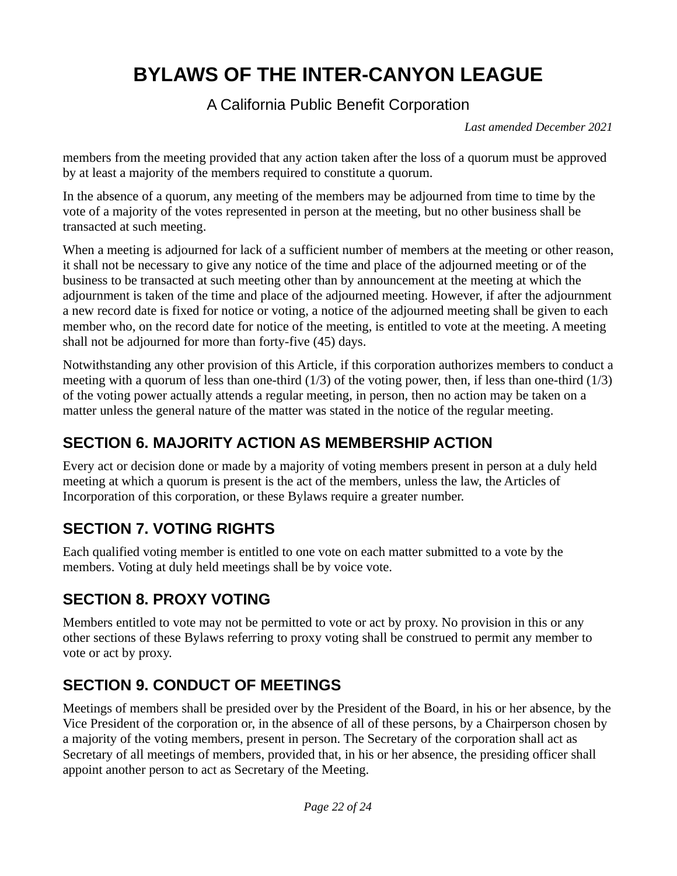#### A California Public Benefit Corporation

*Last amended December 2021*

members from the meeting provided that any action taken after the loss of a quorum must be approved by at least a majority of the members required to constitute a quorum.

In the absence of a quorum, any meeting of the members may be adjourned from time to time by the vote of a majority of the votes represented in person at the meeting, but no other business shall be transacted at such meeting.

When a meeting is adjourned for lack of a sufficient number of members at the meeting or other reason, it shall not be necessary to give any notice of the time and place of the adjourned meeting or of the business to be transacted at such meeting other than by announcement at the meeting at which the adjournment is taken of the time and place of the adjourned meeting. However, if after the adjournment a new record date is fixed for notice or voting, a notice of the adjourned meeting shall be given to each member who, on the record date for notice of the meeting, is entitled to vote at the meeting. A meeting shall not be adjourned for more than forty-five (45) days.

Notwithstanding any other provision of this Article, if this corporation authorizes members to conduct a meeting with a quorum of less than one-third (1/3) of the voting power, then, if less than one-third (1/3) of the voting power actually attends a regular meeting, in person, then no action may be taken on a matter unless the general nature of the matter was stated in the notice of the regular meeting.

### **SECTION 6. MAJORITY ACTION AS MEMBERSHIP ACTION**

Every act or decision done or made by a majority of voting members present in person at a duly held meeting at which a quorum is present is the act of the members, unless the law, the Articles of Incorporation of this corporation, or these Bylaws require a greater number.

#### **SECTION 7. VOTING RIGHTS**

Each qualified voting member is entitled to one vote on each matter submitted to a vote by the members. Voting at duly held meetings shall be by voice vote.

#### **SECTION 8. PROXY VOTING**

Members entitled to vote may not be permitted to vote or act by proxy. No provision in this or any other sections of these Bylaws referring to proxy voting shall be construed to permit any member to vote or act by proxy.

#### **SECTION 9. CONDUCT OF MEETINGS**

Meetings of members shall be presided over by the President of the Board, in his or her absence, by the Vice President of the corporation or, in the absence of all of these persons, by a Chairperson chosen by a majority of the voting members, present in person. The Secretary of the corporation shall act as Secretary of all meetings of members, provided that, in his or her absence, the presiding officer shall appoint another person to act as Secretary of the Meeting.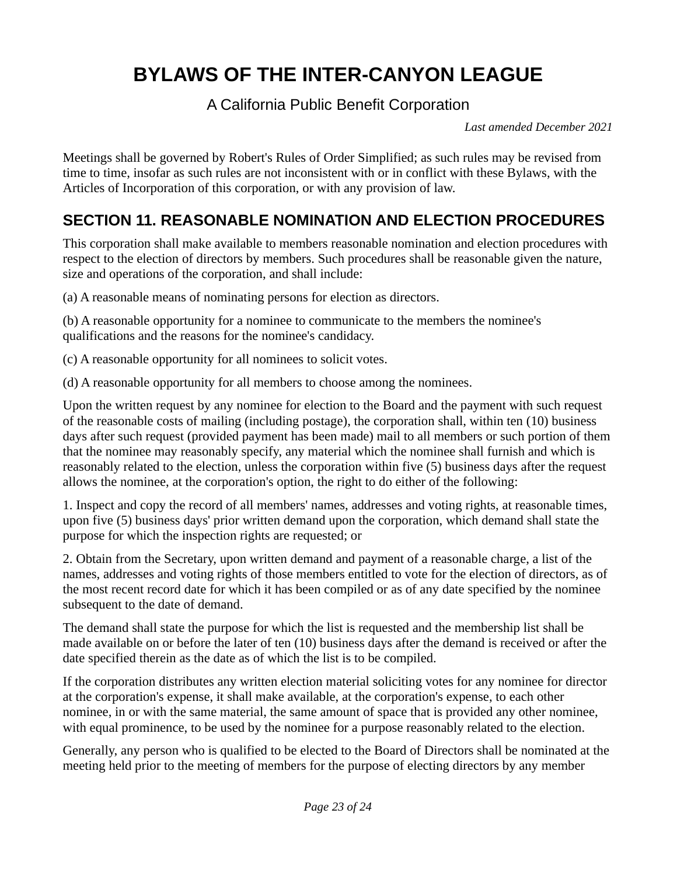#### A California Public Benefit Corporation

*Last amended December 2021*

Meetings shall be governed by Robert's Rules of Order Simplified; as such rules may be revised from time to time, insofar as such rules are not inconsistent with or in conflict with these Bylaws, with the Articles of Incorporation of this corporation, or with any provision of law.

## **SECTION 11. REASONABLE NOMINATION AND ELECTION PROCEDURES**

This corporation shall make available to members reasonable nomination and election procedures with respect to the election of directors by members. Such procedures shall be reasonable given the nature, size and operations of the corporation, and shall include:

(a) A reasonable means of nominating persons for election as directors.

(b) A reasonable opportunity for a nominee to communicate to the members the nominee's qualifications and the reasons for the nominee's candidacy.

(c) A reasonable opportunity for all nominees to solicit votes.

(d) A reasonable opportunity for all members to choose among the nominees.

Upon the written request by any nominee for election to the Board and the payment with such request of the reasonable costs of mailing (including postage), the corporation shall, within ten (10) business days after such request (provided payment has been made) mail to all members or such portion of them that the nominee may reasonably specify, any material which the nominee shall furnish and which is reasonably related to the election, unless the corporation within five (5) business days after the request allows the nominee, at the corporation's option, the right to do either of the following:

1. Inspect and copy the record of all members' names, addresses and voting rights, at reasonable times, upon five (5) business days' prior written demand upon the corporation, which demand shall state the purpose for which the inspection rights are requested; or

2. Obtain from the Secretary, upon written demand and payment of a reasonable charge, a list of the names, addresses and voting rights of those members entitled to vote for the election of directors, as of the most recent record date for which it has been compiled or as of any date specified by the nominee subsequent to the date of demand.

The demand shall state the purpose for which the list is requested and the membership list shall be made available on or before the later of ten (10) business days after the demand is received or after the date specified therein as the date as of which the list is to be compiled.

If the corporation distributes any written election material soliciting votes for any nominee for director at the corporation's expense, it shall make available, at the corporation's expense, to each other nominee, in or with the same material, the same amount of space that is provided any other nominee, with equal prominence, to be used by the nominee for a purpose reasonably related to the election.

Generally, any person who is qualified to be elected to the Board of Directors shall be nominated at the meeting held prior to the meeting of members for the purpose of electing directors by any member